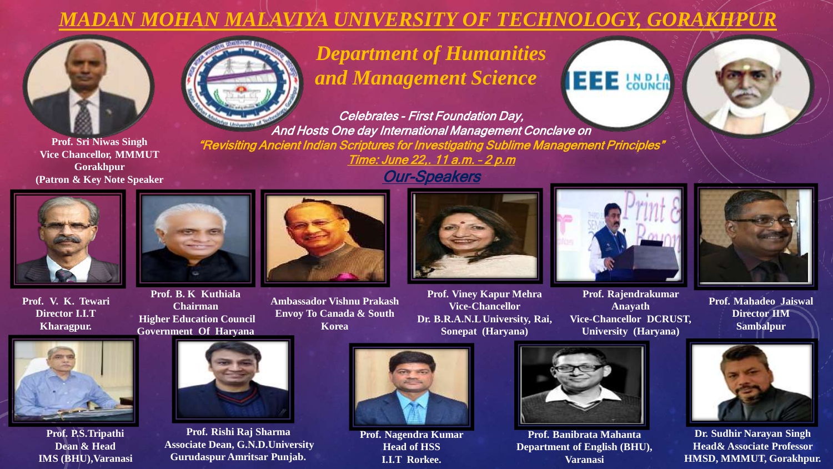## *MADAN MOHAN MALAVIYA UNIVERSITY OF TECHNOLOGY, GORAKHPUR*



**Prof. Sri Niwas Singh Vice Chancellor, MMMUT Gorakhpur (Patron & Key Note Speaker**



*Department of Humanities and Management Science*

Celebrates - First Foundation Day, And Hosts One day International Management Conclave on "Revisiting Ancient Indian Scriptures for Investigating Sublime Management Principles" Time: June 22,. 11 a.m. – 2 p.m **Our-Speakers** 



**Prof. V. K. Tewari Director I.I.T Kharagpur.**



**Prof. B. K Kuthiala Chairman Higher Education Council Government Of Haryana**



**Prof. Rishi Raj Sharma Associate Dean, G.N.D.University Gurudaspur Amritsar Punjab.**



**Ambassador Vishnu Prakash Envoy To Canada & South Korea**



**Prof. Viney Kapur Mehra Vice-Chancellor Dr. B.R.A.N.L University, Rai, Sonepat (Haryana)**



**Prof. Nagendra Kumar Head of HSS I.I.T Rorkee.**



**EEE** LNB1A

**Prof. Rajendrakumar Anayath Vice-Chancellor DCRUST, University (Haryana)**



**Prof. Banibrata Mahanta Department of English (BHU), Varanasi**



**Prof. Mahadeo Jaiswal Director IIM Sambalpur**



**Dr. Sudhir Narayan Singh Head& Associate Professor HMSD, MMMUT, Gorakhpur.**



**Prof. P.S.Tripathi Dean & Head IMS (BHU),Varanasi**